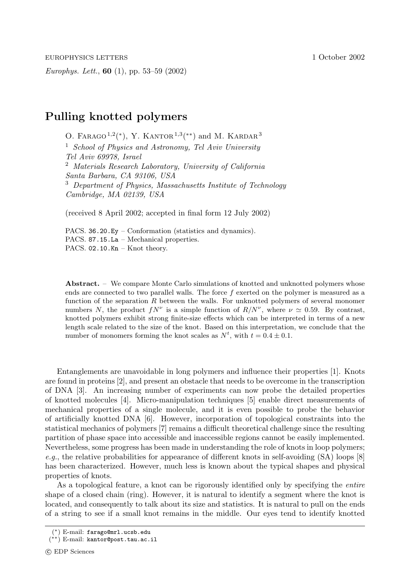*Europhys. Lett.*, **60** (1), pp. 53–59 (2002)

## **Pulling knotted polymers**

O. FARAGO<sup>1,2</sup>(\*), Y. KANTOR<sup>1,3</sup>(\*\*) and M. KARDAR<sup>3</sup> <sup>1</sup> *School of Physics and Astronomy, Tel Aviv University Tel Aviv 69978, Israel* <sup>2</sup> *Materials Research Laboratory, University of California Santa Barbara, CA 93106, USA* <sup>3</sup> *Department of Physics, Massachusetts Institute of Technology Cambridge, MA 02139, USA*

(received 8 April 2002; accepted in final form 12 July 2002)

PACS. 36.20.Ey – Conformation (statistics and dynamics). PACS. 87.15.La – Mechanical properties. PACS. 02.10.Kn - Knot theory.

**Abstract.** – We compare Monte Carlo simulations of knotted and unknotted polymers whose ends are connected to two parallel walls. The force  $f$  exerted on the polymer is measured as a function of the separation  $R$  between the walls. For unknotted polymers of several monomer numbers N, the product  $fN^{\nu}$  is a simple function of  $R/N^{\nu}$ , where  $\nu \approx 0.59$ . By contrast, knotted polymers exhibit strong finite-size effects which can be interpreted in terms of a new length scale related to the size of the knot. Based on this interpretation, we conclude that the number of monomers forming the knot scales as  $N^t$ , with  $t = 0.4 \pm 0.1$ .

Entanglements are unavoidable in long polymers and influence their properties [1]. Knots are found in proteins [2], and present an obstacle that needs to be overcome in the transcription of DNA [3]. An increasing number of experiments can now probe the detailed properties of knotted molecules [4]. Micro-manipulation techniques [5] enable direct measurements of mechanical properties of a single molecule, and it is even possible to probe the behavior of artificially knotted DNA [6]. However, incorporation of topological constraints into the statistical mechanics of polymers [7] remains a difficult theoretical challenge since the resulting partition of phase space into accessible and inaccessible regions cannot be easily implemented. Nevertheless, some progress has been made in understanding the role of knots in loop polymers; *e.g.*, the relative probabilities for appearance of different knots in self-avoiding (SA) loops [8] has been characterized. However, much less is known about the typical shapes and physical properties of knots.

As a topological feature, a knot can be rigorously identified only by specifying the *entire* shape of a closed chain (ring). However, it is natural to identify a segment where the knot is located, and consequently to talk about its size and statistics. It is natural to pull on the ends of a string to see if a small knot remains in the middle. Our eyes tend to identify knotted

<sup>(</sup>∗) E-mail: farago@mrl.ucsb.edu

<sup>(</sup>∗∗) E-mail: kantor@post.tau.ac.il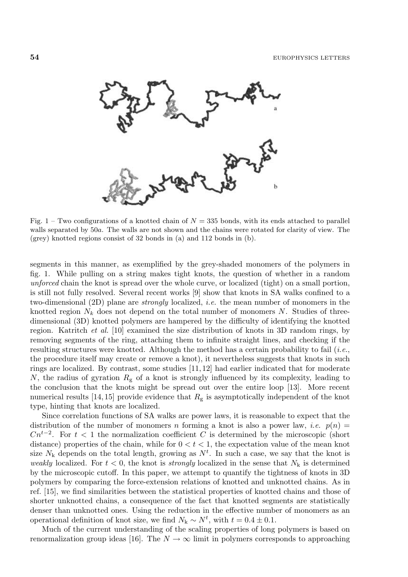

Fig. 1 – Two configurations of a knotted chain of  $N = 335$  bonds, with its ends attached to parallel walls separated by 50a. The walls are not shown and the chains were rotated for clarity of view. The (grey) knotted regions consist of 32 bonds in (a) and 112 bonds in (b).

segments in this manner, as exemplified by the grey-shaded monomers of the polymers in fig. 1. While pulling on a string makes tight knots, the question of whether in a random *unforced* chain the knot is spread over the whole curve, or localized (tight) on a small portion, is still not fully resolved. Several recent works [9] show that knots in SA walks confined to a two-dimensional (2D) plane are *strongly* localized, *i.e.* the mean number of monomers in the knotted region  $N_k$  does not depend on the total number of monomers N. Studies of threedimensional (3D) knotted polymers are hampered by the difficulty of identifying the knotted region. Katritch *et al.* [10] examined the size distribution of knots in 3D random rings, by removing segments of the ring, attaching them to infinite straight lines, and checking if the resulting structures were knotted. Although the method has a certain probability to fail (*i.e.*, the procedure itself may create or remove a knot), it nevertheless suggests that knots in such rings are localized. By contrast, some studies [11, 12] had earlier indicated that for moderate N, the radius of gyration  $R_g$  of a knot is strongly influenced by its complexity, leading to the conclusion that the knots might be spread out over the entire loop [13]. More recent numerical results [14, 15] provide evidence that  $R_{\rm g}$  is asymptotically independent of the knot type, hinting that knots are localized.

Since correlation functions of SA walks are power laws, it is reasonable to expect that the distribution of the number of monomers n forming a knot is also a power law, *i.e.*  $p(n)$  $Cn^{t-2}$ . For  $t < 1$  the normalization coefficient C is determined by the microscopic (short distance) properties of the chain, while for  $0 < t < 1$ , the expectation value of the mean knot size  $N_k$  depends on the total length, growing as  $N^t$ . In such a case, we say that the knot is *weakly* localized. For  $t < 0$  the knot is *strongly* localized in the sense that  $N_t$  is determined *weakly* localized. For  $t < 0$ , the knot is *strongly* localized in the sense that  $N_k$  is determined by the microscopic cutoff. In this paper, we attempt to quantify the tightness of knots in 3D polymers by comparing the force-extension relations of knotted and unknotted chains. As in ref. [15], we find similarities between the statistical properties of knotted chains and those of shorter unknotted chains, a consequence of the fact that knotted segments are statistically denser than unknotted ones. Using the reduction in the effective number of monomers as an operational definition of knot size, we find  $N_k \sim N^t$ , with  $t = 0.4 \pm 0.1$ .<br>Much of the current understanding of the scaling properties of long

Much of the current understanding of the scaling properties of long polymers is based on renormalization group ideas [16]. The  $N \to \infty$  limit in polymers corresponds to approaching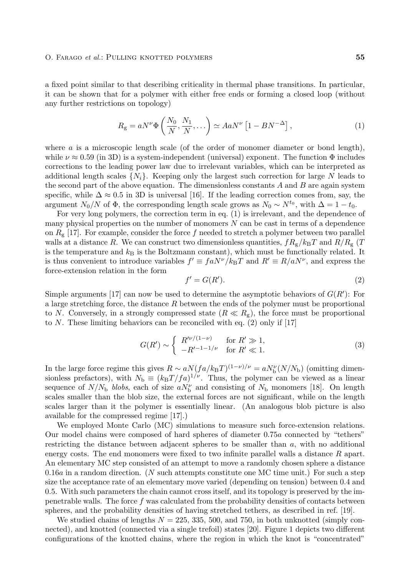## O. Farago et al.: Pulling knotted polymers **55**

a fixed point similar to that describing criticality in thermal phase transitions. In particular, it can be shown that for a polymer with either free ends or forming a closed loop (without any further restrictions on topology)

$$
R_{\rm g} = aN^{\nu}\Phi\left(\frac{N_0}{N}, \frac{N_1}{N}, \ldots\right) \simeq AaN^{\nu}\left[1 - BN^{-\Delta}\right],\tag{1}
$$

where  $a$  is a microscopic length scale (of the order of monomer diameter or bond length), while  $\nu \approx 0.59$  (in 3D) is a system-independent (universal) exponent. The function  $\Phi$  includes corrections to the leading power law due to irrelevant variables, which can be interpreted as additional length scales  $\{N_i\}$ . Keeping only the largest such correction for large N leads to the second part of the above equation. The dimensionless constants  $A$  and  $B$  are again system specific, while  $\Delta \approx 0.5$  in 3D is universal [16]. If the leading correction comes from, say, the argument  $N_0/N$  of  $\Phi$ , the corresponding length scale grows as  $N_0 \sim N^{t_0}$ , with  $\Delta = 1 - t_0$ .

For very long polymers, the correction term in eq. (1) is irrelevant, and the dependence of many physical properties on the number of monomers N can be cast in terms of a dependence on  $R_{g}$  [17]. For example, consider the force f needed to stretch a polymer between two parallel walls at a distance R. We can construct two dimensionless quantities,  $fR_g/k_BT$  and  $R/R_g$  (T is the temperature and  $k_B$  is the Boltzmann constant), which must be functionally related. It is thus convenient to introduce variables  $f' \equiv f aN^{\nu}/k_BT$  and  $R' \equiv R/aN^{\nu}$ , and express the force-extension relation in the form

$$
f' = G(R').
$$
\n<sup>(2)</sup>

Simple arguments [17] can now be used to determine the asymptotic behaviors of  $G(R')$ : For a large stretching force, the distance  $R$  between the ends of the polymer must be proportional to N. Conversely, in a strongly compressed state  $(R \ll R<sub>g</sub>)$ , the force must be proportional to N. These limiting behaviors can be reconciled with eq. (2) only if [17]

$$
G(R') \sim \begin{cases} R'^{\nu/(1-\nu)} & \text{for } R' \gg 1, \\ -R'^{-1-1/\nu} & \text{for } R' \ll 1. \end{cases}
$$
 (3)

In the large force regime this gives  $R \sim a N (fa/k_BT)^{(1-\nu)/\nu} = a N_V^{\nu} (N/N_b)$  (omitting dimensionless prefectors), with  $N_c = (k_T T / fa)^{1/\nu}$ . Thus, the polymer can be viewed as a linear sionless prefactors), with  $N_{\rm b} \equiv (k_{\rm B}T/f a)^{1/\nu}$ . Thus, the polymer can be viewed as a linear sequence of  $N/N_b$  *blobs*, each of size  $aN_b^{\nu}$  and consisting of  $N_b$  monomers [18]. On length scales smaller than the blob size, the external forces are not significant, while on the length scales smaller than the blob size, the external forces are not significant, while on the length scales larger than it the polymer is essentially linear. (An analogous blob picture is also available for the compressed regime [17].)

We employed Monte Carlo (MC) simulations to measure such force-extension relations. Our model chains were composed of hard spheres of diameter 0.75a connected by "tethers" restricting the distance between adjacent spheres to be smaller than a, with no additional energy costs. The end monomers were fixed to two infinite parallel walls a distance R apart. An elementary MC step consisted of an attempt to move a randomly chosen sphere a distance  $0.16a$  in a random direction. (N such attempts constitute one MC time unit.) For such a step size the acceptance rate of an elementary move varied (depending on tension) between 0.4 and 0.5. With such parameters the chain cannot cross itself, and its topology is preserved by the impenetrable walls. The force  $f$  was calculated from the probability densities of contacts between spheres, and the probability densities of having stretched tethers, as described in ref. [19].

We studied chains of lengths  $N = 225, 335, 500,$  and 750, in both unknotted (simply connected), and knotted (connected via a single trefoil) states [20]. Figure 1 depicts two different configurations of the knotted chains, where the region in which the knot is "concentrated"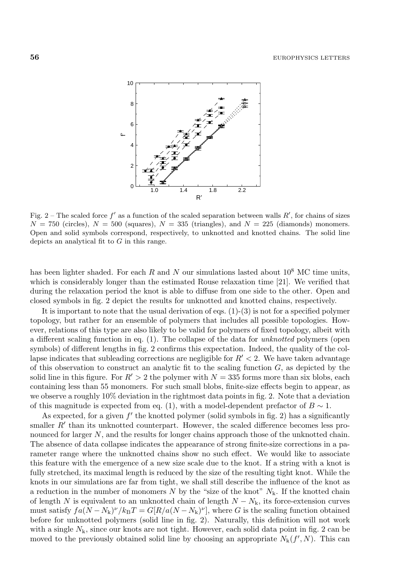

Fig. 2 – The scaled force  $f'$  as a function of the scaled separation between walls  $R'$ , for chains of sizes  $N = 750$  (circles),  $N = 500$  (squares),  $N = 335$  (triangles), and  $N = 225$  (diamonds) monomers. Open and solid symbols correspond, respectively, to unknotted and knotted chains. The solid line depicts an analytical fit to  $G$  in this range.

has been lighter shaded. For each  $R$  and  $N$  our simulations lasted about  $10^8$  MC time units, which is considerably longer than the estimated Rouse relaxation time [21]. We verified that during the relaxation period the knot is able to diffuse from one side to the other. Open and closed symbols in fig. 2 depict the results for unknotted and knotted chains, respectively.

It is important to note that the usual derivation of eqs.  $(1)-(3)$  is not for a specified polymer topology, but rather for an ensemble of polymers that includes all possible topologies. However, relations of this type are also likely to be valid for polymers of fixed topology, albeit with a different scaling function in eq. (1). The collapse of the data for *unknotted* polymers (open symbols) of different lengths in fig. 2 confirms this expectation. Indeed, the quality of the collapse indicates that subleading corrections are negligible for  $R' < 2$ . We have taken advantage of this observation to construct an analytic fit to the scaling function  $G$ , as depicted by the solid line in this figure. For  $R' > 2$  the polymer with  $N = 335$  forms more than six blobs, each containing less than 55 monomers. For such small blobs, finite-size effects begin to appear, as we observe a roughly 10% deviation in the rightmost data points in fig. 2. Note that a deviation of this magnitude is expected from eq. (1), with a model-dependent prefactor of  $B \sim 1$ .

As expected, for a given  $f'$  the knotted polymer (solid symbols in fig. 2) has a significantly smaller  $R'$  than its unknotted counterpart. However, the scaled difference becomes less pronounced for larger N, and the results for longer chains approach those of the unknotted chain. The absence of data collapse indicates the appearance of strong finite-size corrections in a parameter range where the unknotted chains show no such effect. We would like to associate this feature with the emergence of a new size scale due to the knot. If a string with a knot is fully stretched, its maximal length is reduced by the size of the resulting tight knot. While the knots in our simulations are far from tight, we shall still describe the influence of the knot as a reduction in the number of monomers  $N$  by the "size of the knot"  $N_k$ . If the knotted chain of length N is equivalent to an unknotted chain of length  $N - N_k$ , its force-extension curves must satisfy  $fa(N - N_k)^{\nu}/k_BT = G[R/a(N - N_k)^{\nu}]$ , where G is the scaling function obtained before for unknotted polymers (solid line in fig. 2). Naturally, this definition will not work with a single  $N_k$ , since our knots are not tight. However, each solid data point in fig. 2 can be moved to the previously obtained solid line by choosing an appropriate  $N_k(f', N)$ . This can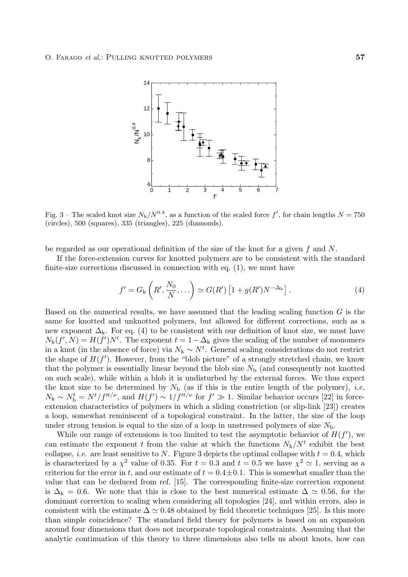

Fig. 3 – The scaled knot size  $N_k/N^{0.4}$ , as a function of the scaled force  $f'$ , for chain lengths  $N = 750$ (circles), 500 (squares), 335 (triangles), 225 (diamonds).

be regarded as our operational definition of the size of the knot for a given  $f$  and  $N$ .

If the force-extension curves for knotted polymers are to be consistent with the standard finite-size corrections discussed in connection with eq. (1), we must have

$$
f' = G_{k}\left(R', \frac{N_0}{N}, \ldots\right) \simeq G(R')\left[1 + g(R')N^{-\Delta_{k}}\right].
$$
\n(4)

Based on the numerical results, we have assumed that the leading scaling function  $G$  is the same for knotted and unknotted polymers, but allowed for different corrections, such as a new exponent  $\Delta_k$ . For eq. (4) to be consistent with our definition of knot size, we must have  $N_{\mathbf{k}}(f', N) = H(f')N^{t}$ . The exponent  $t = 1 - \Delta_{\mathbf{k}}$  gives the scaling of the number of monomers<br>in a knot (in the absence of force) via  $N_{\mathbf{k}} \sim N^{t}$ . General scaling considerations do not restrict in a knot (in the absence of force) via  $N_k \sim N^t$ . General scaling considerations do not restrict<br>the shape of  $H(f')$ . However, from the "blob picture" of a strongly stretched chain, we know the shape of  $H(f')$ . However, from the "blob picture" of a strongly stretched chain, we know<br>that the polymer is essentially linear beyond the blob size  $N_1$  (and consequently not knotted that the polymer is essentially linear beyond the blob size  $N<sub>b</sub>$  (and consequently not knotted on such scale), while within a blob it is undisturbed by the external forces. We thus expect the knot size to be determined by  $N_{\rm b}$  (as if this is the entire length of the polymer), *i.e.*<br> $N_{\rm b} \sim N^t - N^t / f'^t / \nu$  and  $H(f') \sim 1 / f'^t / \nu$  for  $f' \gg 1$ . Similar behavior occurs [22] in force  $N_{\rm k} \sim N_{\rm b}^{\rm t} = N^{\rm t}/f^{\rm rt/\nu}$ , and  $H(f') \sim 1/f^{\rm rt/\nu}$  for  $f' \gg 1$ . Similar behavior occurs [22] in force-<br>extension characteristics of polymers in which a sliding constriction (or slip-link [23]) creates extension characteristics of polymers in which a sliding constriction (or slip-link [23]) creates a loop, somewhat reminiscent of a topological constraint. In the latter, the size of the loop under strong tension is equal to the size of a loop in unstressed polymers of size  $N<sub>b</sub>$ .

While our range of extensions is too limited to test the asymptotic behavior of  $H(f')$ , we estimate the exponent t from the value at which the functions  $N_1/N^t$  exhibit the best can estimate the exponent t from the value at which the functions  $N_k/N^t$  exhibit the best collapse, *i.e.* are least sensitive to N. Figure 3 depicts the optimal collapse with  $t = 0.4$ , which is characterized by a  $\chi^2$  value of 0.35. For  $t = 0.3$  and  $t = 0.5$  we have  $\chi^2 \approx 1$ , serving as a criterion for the error in t, and our estimate of  $t = 0.4 \pm 0.1$ . This is somewhat smaller than the value that can be deduced from ref. [15]. The corresponding finite-size correction exponent is  $\Delta_k = 0.6$ . We note that this is close to the best numerical estimate  $\Delta \simeq 0.56$ , for the dominant correction to scaling when considering all topologies [24], and within errors, also is consistent with the estimate  $\Delta \simeq 0.48$  obtained by field theoretic techniques [25]. Is this more than simple coincidence? The standard field theory for polymers is based on an expansion around four dimensions that does not incorporate topological constraints. Assuming that the analytic continuation of this theory to three dimensions also tells us about knots, how can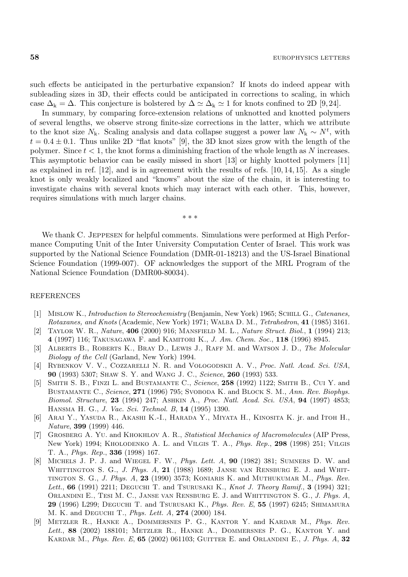such effects be anticipated in the perturbative expansion? If knots do indeed appear with subleading sizes in 3D, their effects could be anticipated in corrections to scaling, in which case  $\Delta_k = \Delta$ . This conjecture is bolstered by  $\Delta \simeq \Delta_k \simeq 1$  for knots confined to 2D [9,24].

In summary, by comparing force-extension relations of unknotted and knotted polymers of several lengths, we observe strong finite-size corrections in the latter, which we attribute to the knot size  $N_k$ . Scaling analysis and data collapse suggest a power law  $N_k \sim N^t$ , with  $t = 0.4 \pm 0.1$ . Thus unlike 2D "flat knots" [0] the 3D knot sizes grow with the length of the  $t = 0.4 \pm 0.1$ . Thus unlike 2D "flat knots" [9], the 3D knot sizes grow with the length of the polymer. Since  $t < 1$ , the knot forms a diminishing fraction of the whole length as N increases. This asymptotic behavior can be easily missed in short [13] or highly knotted polymers [11] as explained in ref.  $[12]$ , and is in agreement with the results of refs.  $[10, 14, 15]$ . As a single knot is only weakly localized and "knows" about the size of the chain, it is interesting to investigate chains with several knots which may interact with each other. This, however, requires simulations with much larger chains.

∗∗∗

We thank C. JEPPESEN for helpful comments. Simulations were performed at High Performance Computing Unit of the Inter University Computation Center of Israel. This work was supported by the National Science Foundation (DMR-01-18213) and the US-Israel Binational Science Foundation (1999-007). OF acknowledges the support of the MRL Program of the National Science Foundation (DMR00-80034).

## REFERENCES

- [1] Mislow K., Introduction to Stereochemistry (Benjamin, New York) 1965; Schill G., Catenanes, Rotaxanes, and Knots (Academic, New York) 1971; Walba D. M., Tetrahedron, **41** (1985) 3161.
- [2] Taylor W. R., Nature, **406** (2000) 916; Mansfield M. L., Nature Struct. Biol., **1** (1994) 213; **4** (1997) 116; Takusagawa F. and Kamitori K., J. Am. Chem. Soc., **118** (1996) 8945.
- [3] Alberts B., Roberts K., Bray D., Lewis J., Raff M. and Watson J. D., The Molecular Biology of the Cell (Garland, New York) 1994.
- [4] RYBENKOV V. V., COZZARELLI N. R. and VOLOGODSKII A. V., Proc. Natl. Acad. Sci. USA, **90** (1993) 5307; Shaw S. Y. and Wang J. C., Science, **260** (1993) 533.
- [5] Smith S. B., Finzi L. and Bustamante C., Science, **258** (1992) 1122; Smith B., Cui Y. and BUSTAMANTE C., Science, 271 (1996) 795; SVOBODA K. and BLOCK S. M., Ann. Rev. Biophys. Biomol. Structure, **23** (1994) 247; Ashkin A., Proc. Natl. Acad. Sci. USA, **94** (1997) 4853; Hansma H. G., J. Vac. Sci. Technol. B, **14** (1995) 1390.
- [6] Arai Y., Yasuda R., Akashi K.-I., Harada Y., Miyata H., Kinosita K. jr. and Itoh H., Nature, **399** (1999) 446.
- [7] GROSBERG A. YU. and KHOKHLOV A. R., Statistical Mechanics of Macromolecules (AIP Press, New York) 1994; Kholodenko A. L. and Vilgis T. A., Phys. Rep., **298** (1998) 251; Vilgis T. A., Phys. Rep., **336** (1998) 167.
- [8] Michels J. P. J. and Wiegel F. W., Phys. Lett. A, **90** (1982) 381; Sumners D. W. and WHITTINGTON S. G., *J. Phys. A*, **21** (1988) 1689; JANSE VAN RENSBURG E. J. and WHITtington S. G., J. Phys. A, **23** (1990) 3573; Koniaris K. and Muthukumar M., Phys. Rev. Lett., **66** (1991) 2211; Deguchi T. and Tsurusaki K., Knot J. Theory Ramif., **3** (1994) 321; Orlandini E., Tesi M. C., Janse van Rensburg E. J. and Whittington S. G., J. Phys. A, **29** (1996) L299; Deguchi T. and Tsurusaki K., Phys. Rev. E, **55** (1997) 6245; Shimamura M. K. and Deguchi T., Phys. Lett. A, **274** (2000) 184.
- [9] Metzler R., Hanke A., Dommersnes P. G., Kantor Y. and Kardar M., Phys. Rev. Lett., 88 (2002) 188101; METZLER R., HANKE A., DOMMERSNES P. G., KANTOR Y. and Kardar M., Phys. Rev. E, **65** (2002) 061103; Guitter E. and Orlandini E., J. Phys. A, **32**